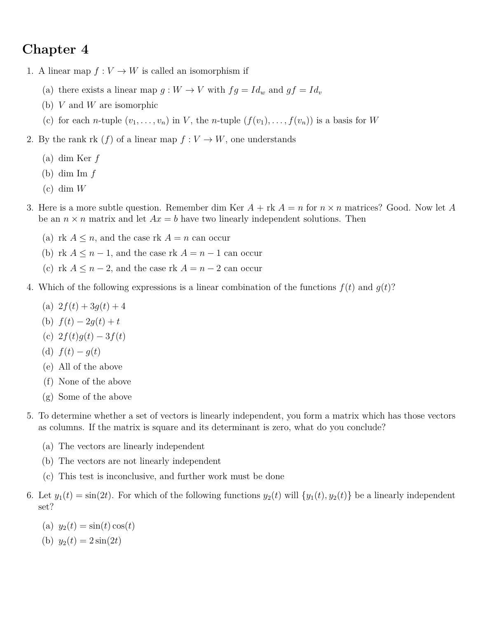## **Chapter 4**

- 1. A linear map  $f: V \to W$  is called an isomorphism if
	- (a) there exists a linear map  $g: W \to V$  with  $fg = Id_w$  and  $gf = Id_v$
	- (b) *V* and *W* are isomorphic
	- (c) for each *n*-tuple  $(v_1, \ldots, v_n)$  in *V*, the *n*-tuple  $(f(v_1), \ldots, f(v_n))$  is a basis for *W*
- 2. By the rank rk  $(f)$  of a linear map  $f: V \to W$ , one understands
	- (a) dim Ker *f*
	- (b) dim Im *f*
	- (c) dim *W*
- 3. Here is a more subtle question. Remember dim Ker *A* + rk *A* = *n* for *n* × *n* matrices? Good. Now let *A* be an  $n \times n$  matrix and let  $Ax = b$  have two linearly independent solutions. Then
	- (a) rk  $A \leq n$ , and the case rk  $A = n$  can occur
	- (b) rk  $A \leq n-1$ , and the case rk  $A = n-1$  can occur
	- (c) rk  $A \leq n-2$ , and the case rk  $A = n-2$  can occur
- 4. Which of the following expressions is a linear combination of the functions  $f(t)$  and  $g(t)$ ?
	- (a)  $2f(t) + 3q(t) + 4$
	- (b)  $f(t) 2g(t) + t$
	- (c)  $2f(t)g(t) 3f(t)$
	- (d)  $f(t) g(t)$
	- (e) All of the above
	- (f) None of the above
	- (g) Some of the above
- 5. To determine whether a set of vectors is linearly independent, you form a matrix which has those vectors as columns. If the matrix is square and its determinant is zero, what do you conclude?
	- (a) The vectors are linearly independent
	- (b) The vectors are not linearly independent
	- (c) This test is inconclusive, and further work must be done
- 6. Let  $y_1(t) = \sin(2t)$ . For which of the following functions  $y_2(t)$  will  $\{y_1(t), y_2(t)\}$  be a linearly independent set?
	- (a)  $y_2(t) = \sin(t) \cos(t)$
	- (b)  $y_2(t) = 2\sin(2t)$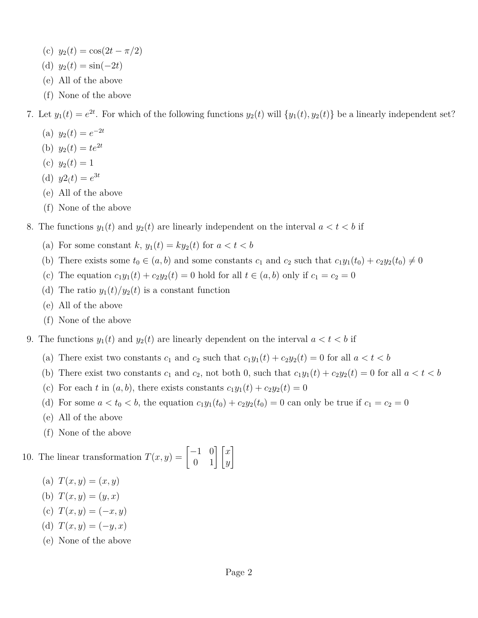- (c)  $y_2(t) = \cos(2t \pi/2)$
- (d)  $y_2(t) = \sin(-2t)$
- (e) All of the above
- (f) None of the above

7. Let  $y_1(t) = e^{2t}$ . For which of the following functions  $y_2(t)$  will  $\{y_1(t), y_2(t)\}$  be a linearly independent set?

- (a)  $y_2(t) = e^{-2t}$
- (b)  $y_2(t) = te^{2t}$
- (c)  $y_2(t) = 1$
- (d)  $y2(t) = e^{3t}$
- (e) All of the above
- (f) None of the above

8. The functions  $y_1(t)$  and  $y_2(t)$  are linearly independent on the interval  $a < t < b$  if

- (a) For some constant  $k$ ,  $y_1(t) = ky_2(t)$  for  $a < t < b$
- (b) There exists some  $t_0 \in (a, b)$  and some constants  $c_1$  and  $c_2$  such that  $c_1y_1(t_0) + c_2y_2(t_0) \neq 0$
- (c) The equation  $c_1y_1(t) + c_2y_2(t) = 0$  hold for all  $t \in (a, b)$  only if  $c_1 = c_2 = 0$
- (d) The ratio  $y_1(t)/y_2(t)$  is a constant function
- (e) All of the above
- (f) None of the above

9. The functions  $y_1(t)$  and  $y_2(t)$  are linearly dependent on the interval  $a < t < b$  if

- (a) There exist two constants  $c_1$  and  $c_2$  such that  $c_1y_1(t) + c_2y_2(t) = 0$  for all  $a < t < b$
- (b) There exist two constants  $c_1$  and  $c_2$ , not both 0, such that  $c_1y_1(t) + c_2y_2(t) = 0$  for all  $a < t < b$
- (c) For each *t* in  $(a, b)$ , there exists constants  $c_1y_1(t) + c_2y_2(t) = 0$
- (d) For some  $a < t_0 < b$ , the equation  $c_1y_1(t_0) + c_2y_2(t_0) = 0$  can only be true if  $c_1 = c_2 = 0$
- (e) All of the above
- (f) None of the above

10. The linear transformation  $T(x,y) = \begin{bmatrix} -1 & 0 \\ 0 & 1 \end{bmatrix} \begin{bmatrix} x \\ y \end{bmatrix}$ 1

- (a)  $T(x, y) = (x, y)$
- (b)  $T(x, y) = (y, x)$
- (c)  $T(x, y) = (-x, y)$
- (d)  $T(x, y) = (-y, x)$
- (e) None of the above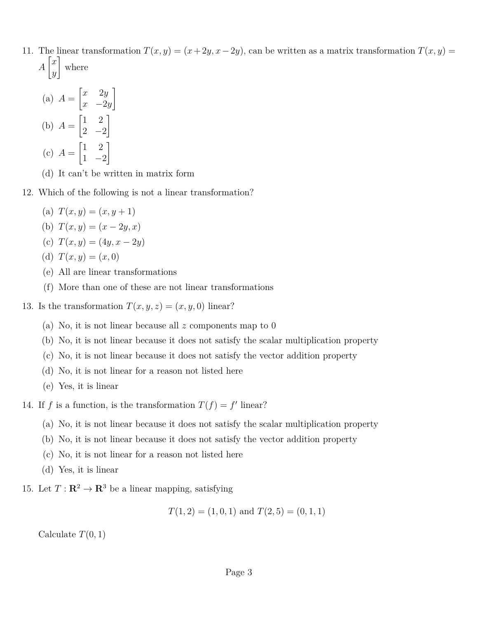11. The linear transformation  $T(x, y) = (x + 2y, x - 2y)$ , can be written as a matrix transformation  $T(x, y) =$ *A*  $\lceil x \rceil$ *y* 1 where

(a) 
$$
A = \begin{bmatrix} x & 2y \\ x & -2y \end{bmatrix}
$$
  
\n(b)  $A = \begin{bmatrix} 1 & 2 \\ 2 & -2 \end{bmatrix}$   
\n(c)  $A = \begin{bmatrix} 1 & 2 \\ 1 & -2 \end{bmatrix}$ 

- (d) It can't be written in matrix form
- 12. Which of the following is not a linear transformation?
	- (a)  $T(x, y) = (x, y + 1)$
	- (b)  $T(x, y) = (x 2y, x)$
	- (c)  $T(x, y) = (4y, x 2y)$
	- (d)  $T(x, y) = (x, 0)$
	- (e) All are linear transformations
	- (f) More than one of these are not linear transformations
- 13. Is the transformation  $T(x, y, z) = (x, y, 0)$  linear?
	- (a) No, it is not linear because all *z* components map to 0
	- (b) No, it is not linear because it does not satisfy the scalar multiplication property
	- (c) No, it is not linear because it does not satisfy the vector addition property
	- (d) No, it is not linear for a reason not listed here
	- (e) Yes, it is linear

14. If *f* is a function, is the transformation  $T(f) = f'$  linear?

- (a) No, it is not linear because it does not satisfy the scalar multiplication property
- (b) No, it is not linear because it does not satisfy the vector addition property
- (c) No, it is not linear for a reason not listed here
- (d) Yes, it is linear
- 15. Let  $T : \mathbb{R}^2 \to \mathbb{R}^3$  be a linear mapping, satisfying

 $T(1, 2) = (1, 0, 1)$  and  $T(2, 5) = (0, 1, 1)$ 

Calculate  $T(0, 1)$